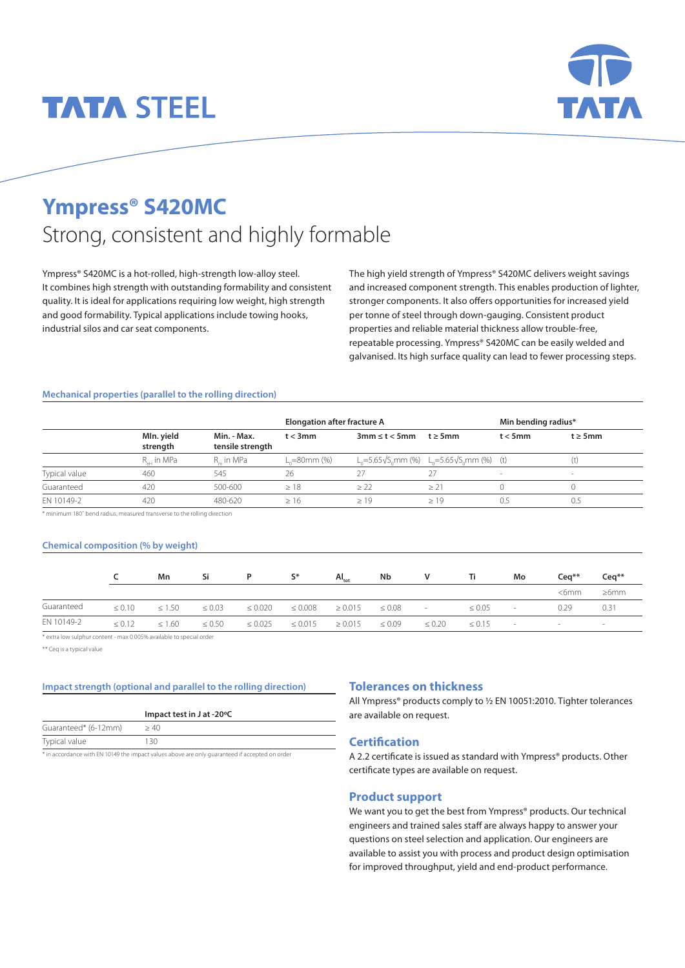# **TATA STEEL**



# **Ympress® S420MC** Strong, consistent and highly formable

Ympress® S420MC is a hot-rolled, high-strength low-alloy steel. It combines high strength with outstanding formability and consistent quality. It is ideal for applications requiring low weight, high strength and good formability. Typical applications include towing hooks, industrial silos and car seat components.

The high yield strength of Ympress® S420MC delivers weight savings and increased component strength. This enables production of lighter, stronger components. It also offers opportunities for increased yield per tonne of steel through down-gauging. Consistent product properties and reliable material thickness allow trouble-free, repeatable processing. Ympress® S420MC can be easily welded and galvanised. Its high surface quality can lead to fewer processing steps.

#### **Mechanical properties (parallel to the rolling direction)**

|               |                        |                                 | <b>Elongation after fracture A</b> |                    | Min bending radius*                                                                       |            |               |
|---------------|------------------------|---------------------------------|------------------------------------|--------------------|-------------------------------------------------------------------------------------------|------------|---------------|
|               | MIn. yield<br>strength | Min. - Max.<br>tensile strength | $t < 3$ mm                         | $3mm \leq t < 5mm$ | $t \geq 5$ mm                                                                             | $t < 5$ mm | $t \geq 5$ mm |
|               | R <sub>eH</sub> in MPa | R in MPa                        | L.=80mm (%)                        |                    | L <sub>o</sub> =5.65√S <sub>o</sub> mm (%) L <sub>o</sub> =5.65√S <sub>o</sub> mm (%) (t) |            | (t)           |
| Typical value | 460                    | 545                             | 26                                 |                    | 27                                                                                        | $\sim$     | ۰             |
| Guaranteed    | 420                    | 500-600                         | >18                                | > 22               | > 21                                                                                      |            |               |
| EN 10149-2    | 420                    | 480-620                         | >16                                | >19                | >19                                                                                       | 0.5        | 0.5           |

\* minimum 180˚ bend radius, measured transverse to the rolling direction

#### **Chemical composition (% by weight)**

|            |             | Mn          | -Si         | <b>P</b> S <sup>*</sup> |              | $AI_{\text{tot}}$                     | Nb | <b>V</b> Ti          |               | Mo | $Cea**$ | $Ceq**$ |
|------------|-------------|-------------|-------------|-------------------------|--------------|---------------------------------------|----|----------------------|---------------|----|---------|---------|
|            |             |             |             |                         |              |                                       |    |                      |               |    | <6mm    | ≥6mm    |
| Guaranteed | $\leq 0.10$ | $\leq 1.50$ | $\leq 0.03$ | $\leq 0.020$            | $\leq 0.008$ | $\geq 0.015$ $\leq 0.08$              |    | and the state of the | $\leq 0.05$ - |    | 0.29    | 0.31    |
| EN 10149-2 | $\leq 0.12$ | $\leq 1.60$ | $\leq 0.50$ | $\leq 0.025$            |              | $\leq 0.015$ $\geq 0.015$ $\leq 0.09$ |    | $\leq 0.20$          | $\leq 0.15$ - |    | $\sim$  | $\sim$  |

\* extra low sulphur content - max 0.005% available to special order

\*\* Ceq is a typical value

#### **Impact strength (optional and parallel to the rolling direction)**

|                      | Impact test in J at -20°C |
|----------------------|---------------------------|
| Guaranteed* (6-12mm) | >40                       |
| Typical value        | 130                       |
|                      |                           |

\* in accordance with EN 10149 the impact values above are only guaranteed if accepted on order

### **Tolerances on thickness**

All Ympress® products comply to 1/2 EN 10051:2010. Tighter tolerances are available on request.

#### **Certification**

A 2.2 certificate is issued as standard with Ympress® products. Other certificate types are available on request.

#### **Product support**

We want you to get the best from Ympress® products. Our technical engineers and trained sales staff are always happy to answer your questions on steel selection and application. Our engineers are available to assist you with process and product design optimisation for improved throughput, yield and end-product performance.